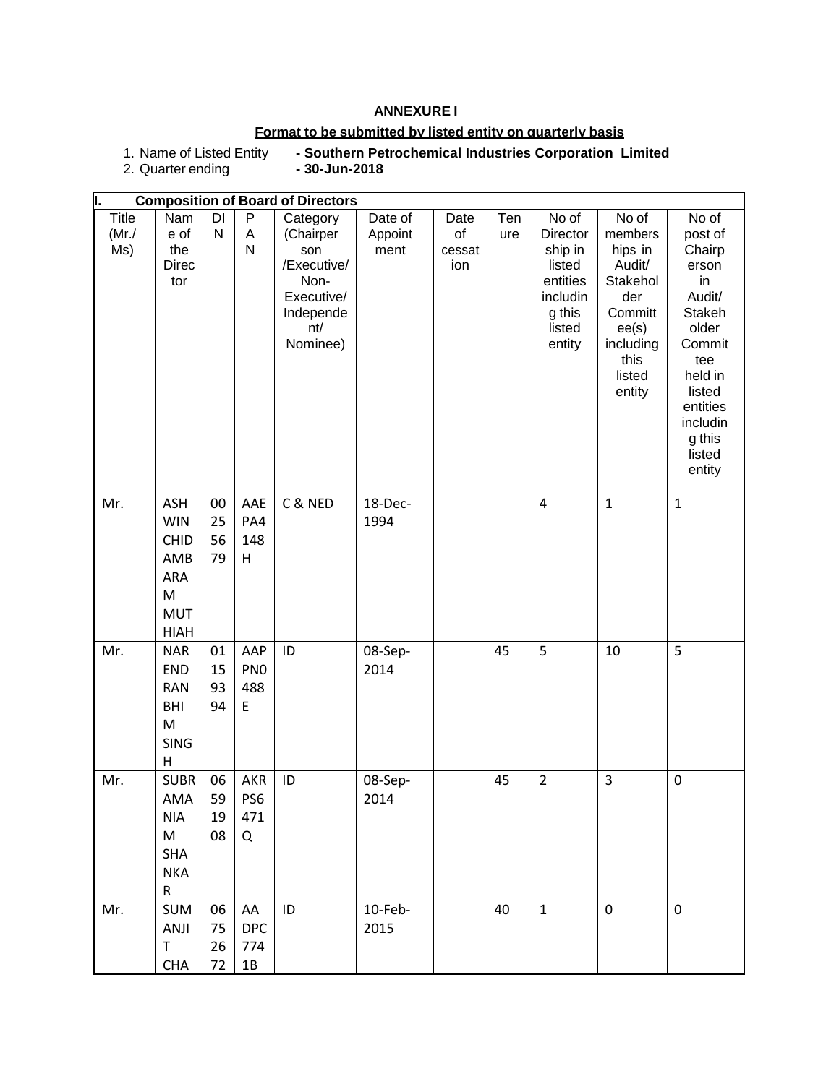## **ANNEXURE I**

## **Format to be submitted by listed entity on quarterly basis**

1. Name of Listed Entity **- Southern Petrochemical Industries Corporation Limited**

 $\overline{1}$ 

2. Quarter ending **- 30-Jun-2018**

|                        |                                                                                   |                      |                                    | <b>Composition of Board of Directors</b>                                                          |                            |                             |            |                                                                                                     |                                                                                                                       |                                                                                                                                                                    |
|------------------------|-----------------------------------------------------------------------------------|----------------------|------------------------------------|---------------------------------------------------------------------------------------------------|----------------------------|-----------------------------|------------|-----------------------------------------------------------------------------------------------------|-----------------------------------------------------------------------------------------------------------------------|--------------------------------------------------------------------------------------------------------------------------------------------------------------------|
| Title<br>(Mr./)<br>Ms) | Nam<br>e of<br>the<br><b>Direc</b><br>tor                                         | DI<br>${\sf N}$      | P<br>A<br>${\sf N}$                | Category<br>(Chairper<br>son<br>/Executive/<br>Non-<br>Executive/<br>Independe<br>nt/<br>Nominee) | Date of<br>Appoint<br>ment | Date<br>of<br>cessat<br>ion | Ten<br>ure | No of<br><b>Director</b><br>ship in<br>listed<br>entities<br>includin<br>g this<br>listed<br>entity | No of<br>members<br>hips in<br>Audit/<br>Stakehol<br>der<br>Committ<br>ee(s)<br>including<br>this<br>listed<br>entity | No of<br>post of<br>Chairp<br>erson<br>in<br>Audit/<br>Stakeh<br>older<br>Commit<br>tee<br>held in<br>listed<br>entities<br>includin<br>g this<br>listed<br>entity |
| Mr.                    | ASH<br><b>WIN</b><br><b>CHID</b><br>AMB<br>ARA<br>M<br><b>MUT</b><br><b>HIAH</b>  | 00<br>25<br>56<br>79 | AAE<br>PA4<br>148<br>Н             | C & NED                                                                                           | 18-Dec-<br>1994            |                             |            | $\overline{4}$                                                                                      | $\mathbf{1}$                                                                                                          | $\mathbf{1}$                                                                                                                                                       |
| Mr.                    | <b>NAR</b><br>END<br><b>RAN</b><br>BHI<br>M<br><b>SING</b><br>Н                   | 01<br>15<br>93<br>94 | AAP<br>PN <sub>0</sub><br>488<br>E | ID                                                                                                | 08-Sep-<br>2014            |                             | 45         | 5                                                                                                   | 10                                                                                                                    | 5                                                                                                                                                                  |
| Mr.                    | <b>SUBR</b><br>AMA<br><b>NIA</b><br>M<br><b>SHA</b><br><b>NKA</b><br>$\mathsf{R}$ | 06<br>59<br>19<br>08 | AKR<br>PS <sub>6</sub><br>471<br>Q | ID                                                                                                | 08-Sep-<br>2014            |                             | 45         | $\overline{2}$                                                                                      | 3                                                                                                                     | $\mathbf 0$                                                                                                                                                        |
| Mr.                    | <b>SUM</b><br>ANJI<br>T<br><b>CHA</b>                                             | 06<br>75<br>26<br>72 | AA<br><b>DPC</b><br>774<br>1B      | ID                                                                                                | 10-Feb-<br>2015            |                             | 40         | $\mathbf{1}$                                                                                        | $\pmb{0}$                                                                                                             | $\pmb{0}$                                                                                                                                                          |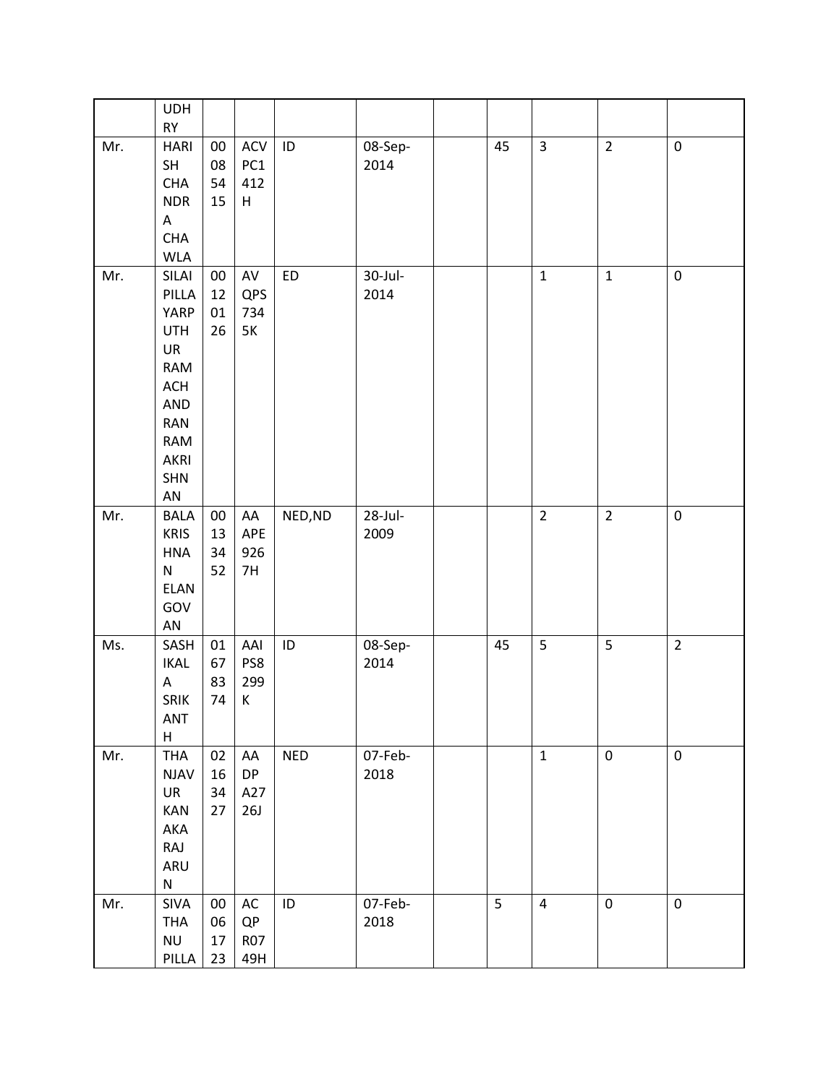|     | <b>UDH</b>        |        |            |            |            |    |                |                |                  |
|-----|-------------------|--------|------------|------------|------------|----|----------------|----------------|------------------|
| Mr. | RY<br><b>HARI</b> | $00\,$ | <b>ACV</b> | ID         | 08-Sep-    | 45 | $\overline{3}$ | $\overline{2}$ | $\pmb{0}$        |
|     | SH                | 08     | PC1        |            | 2014       |    |                |                |                  |
|     | <b>CHA</b>        | 54     | 412        |            |            |    |                |                |                  |
|     | <b>NDR</b>        | 15     | H          |            |            |    |                |                |                  |
|     |                   |        |            |            |            |    |                |                |                  |
|     | A<br><b>CHA</b>   |        |            |            |            |    |                |                |                  |
|     | <b>WLA</b>        |        |            |            |            |    |                |                |                  |
|     |                   |        |            |            |            |    | $\mathbf{1}$   | $\mathbf{1}$   | $\pmb{0}$        |
| Mr. | SILAI             | $00\,$ | AV<br>QPS  | ED         | 30-Jul-    |    |                |                |                  |
|     | PILLA             | 12     |            |            | 2014       |    |                |                |                  |
|     | YARP              | 01     | 734        |            |            |    |                |                |                  |
|     | <b>UTH</b>        | 26     | $5K$       |            |            |    |                |                |                  |
|     | UR                |        |            |            |            |    |                |                |                  |
|     | RAM               |        |            |            |            |    |                |                |                  |
|     | ACH               |        |            |            |            |    |                |                |                  |
|     | AND               |        |            |            |            |    |                |                |                  |
|     | <b>RAN</b>        |        |            |            |            |    |                |                |                  |
|     | <b>RAM</b>        |        |            |            |            |    |                |                |                  |
|     | AKRI              |        |            |            |            |    |                |                |                  |
|     | <b>SHN</b>        |        |            |            |            |    |                |                |                  |
|     | AN                |        |            |            |            |    |                |                |                  |
| Mr. | <b>BALA</b>       | $00\,$ | AA         | NED, ND    | $28$ -Jul- |    | $\overline{2}$ | $\overline{2}$ | $\boldsymbol{0}$ |
|     | <b>KRIS</b>       | 13     | APE        |            | 2009       |    |                |                |                  |
|     | <b>HNA</b>        | 34     | 926        |            |            |    |                |                |                  |
|     | ${\sf N}$         | 52     | 7H         |            |            |    |                |                |                  |
|     | ELAN              |        |            |            |            |    |                |                |                  |
|     | GOV               |        |            |            |            |    |                |                |                  |
|     | ${\sf AN}$        |        |            |            |            |    |                |                |                  |
| Ms. | SASH              | 01     | AAI        | $\sf ID$   | 08-Sep-    | 45 | 5              | 5              | $\overline{2}$   |
|     | <b>IKAL</b>       | 67     | PS8        |            | 2014       |    |                |                |                  |
|     | A                 | 83     | 299        |            |            |    |                |                |                  |
|     | SRIK              | 74     | К          |            |            |    |                |                |                  |
|     | ANT               |        |            |            |            |    |                |                |                  |
|     | $\sf H$           |        |            |            |            |    |                |                |                  |
| Mr. | <b>THA</b>        | 02     | AA         | <b>NED</b> | 07-Feb-    |    | $\mathbf{1}$   | $\pmb{0}$      | $\pmb{0}$        |
|     | <b>NJAV</b>       | 16     | <b>DP</b>  |            | 2018       |    |                |                |                  |
|     | UR                | 34     | A27        |            |            |    |                |                |                  |
|     | KAN               | 27     | 26J        |            |            |    |                |                |                  |
|     | AKA               |        |            |            |            |    |                |                |                  |
|     | RAJ               |        |            |            |            |    |                |                |                  |
|     | ARU               |        |            |            |            |    |                |                |                  |
|     | ${\sf N}$         |        |            |            |            |    |                |                |                  |
| Mr. | SIVA              | $00\,$ | $\sf AC$   | ID         | 07-Feb-    | 5  | $\overline{4}$ | $\pmb{0}$      | $\pmb{0}$        |
|     | <b>THA</b>        | 06     | QP         |            | 2018       |    |                |                |                  |
|     | <b>NU</b>         | 17     | <b>R07</b> |            |            |    |                |                |                  |
|     | PILLA             | 23     | 49H        |            |            |    |                |                |                  |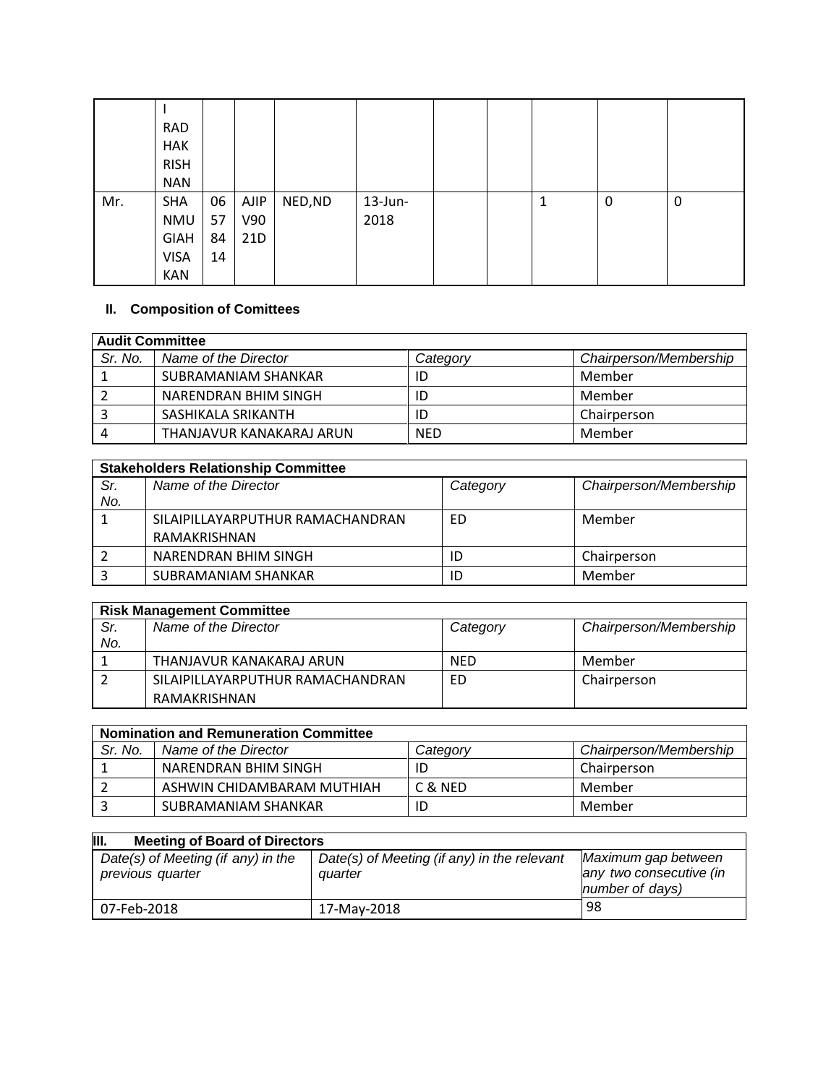|     | <b>RAD</b>  |    |      |         |            |  |   |   |   |
|-----|-------------|----|------|---------|------------|--|---|---|---|
|     | <b>HAK</b>  |    |      |         |            |  |   |   |   |
|     | <b>RISH</b> |    |      |         |            |  |   |   |   |
|     | <b>NAN</b>  |    |      |         |            |  |   |   |   |
| Mr. | <b>SHA</b>  | 06 | AJIP | NED, ND | $13$ -Jun- |  | 1 | 0 | 0 |
|     | NMU         | 57 | V90  |         | 2018       |  |   |   |   |
|     | <b>GIAH</b> | 84 | 21D  |         |            |  |   |   |   |
|     | <b>VISA</b> | 14 |      |         |            |  |   |   |   |
|     | <b>KAN</b>  |    |      |         |            |  |   |   |   |

## **II. Composition of Comittees**

| <b>Audit Committee</b> |                          |            |                        |  |
|------------------------|--------------------------|------------|------------------------|--|
| Sr. No.                | Name of the Director     | Category   | Chairperson/Membership |  |
|                        | SUBRAMANIAM SHANKAR      |            | Member                 |  |
|                        | NARENDRAN BHIM SINGH     |            | Member                 |  |
|                        | SASHIKALA SRIKANTH       | ID         | Chairperson            |  |
| $\overline{4}$         | THANJAVUR KANAKARAJ ARUN | <b>NED</b> | Member                 |  |

|     | <b>Stakeholders Relationship Committee</b> |          |                        |  |  |
|-----|--------------------------------------------|----------|------------------------|--|--|
| Sr. | Name of the Director                       | Category | Chairperson/Membership |  |  |
| No. |                                            |          |                        |  |  |
|     | SILAIPILLAYARPUTHUR RAMACHANDRAN           | ED       | Member                 |  |  |
|     | RAMAKRISHNAN                               |          |                        |  |  |
|     | NARENDRAN BHIM SINGH                       |          | Chairperson            |  |  |
|     | SUBRAMANIAM SHANKAR                        |          | Member                 |  |  |

| <b>Risk Management Committee</b> |                                  |            |                        |  |
|----------------------------------|----------------------------------|------------|------------------------|--|
| Sr.                              | Name of the Director             | Category   | Chairperson/Membership |  |
| No.                              |                                  |            |                        |  |
|                                  | THANJAVUR KANAKARAJ ARUN         | <b>NED</b> | Member                 |  |
|                                  | SILAIPILLAYARPUTHUR RAMACHANDRAN | ED         | Chairperson            |  |
|                                  | RAMAKRISHNAN                     |            |                        |  |

| <b>Nomination and Remuneration Committee</b> |                            |          |                        |  |
|----------------------------------------------|----------------------------|----------|------------------------|--|
| Sr. No.                                      | Name of the Director       | Category | Chairperson/Membership |  |
|                                              | NARENDRAN BHIM SINGH       | ID       | Chairperson            |  |
|                                              | ASHWIN CHIDAMBARAM MUTHIAH | C & NFD  | Member                 |  |
|                                              | SUBRAMANIAM SHANKAR        | ID       | Member                 |  |

| III.<br><b>Meeting of Board of Directors</b>           |                                                        |                                                                   |  |  |  |
|--------------------------------------------------------|--------------------------------------------------------|-------------------------------------------------------------------|--|--|--|
| Date(s) of Meeting (if any) in the<br>previous quarter | Date(s) of Meeting (if any) in the relevant<br>auarter | Maximum gap between<br>any two consecutive (in<br>number of days) |  |  |  |
| 07-Feb-2018                                            | 17-Mav-2018                                            | 98                                                                |  |  |  |